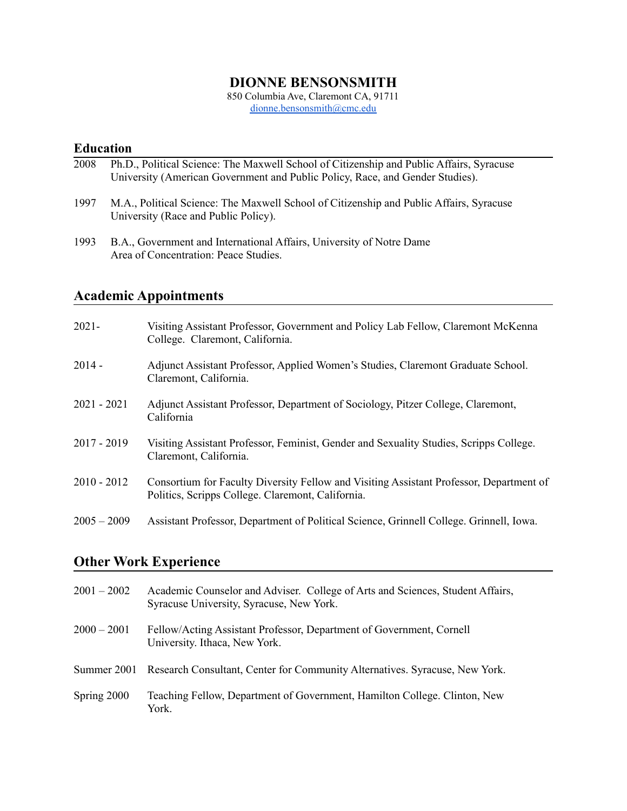## **DIONNE BENSONSMITH**

850 Columbia Ave, Claremont CA, 91711 [dionne.bensonsmith@cmc.edu](mailto:dionne.bensonsmith@cmc.edu)

## **Education**

| 2008 | Ph.D., Political Science: The Maxwell School of Citizenship and Public Affairs, Syracuse |
|------|------------------------------------------------------------------------------------------|
|      | University (American Government and Public Policy, Race, and Gender Studies).            |
|      |                                                                                          |

- 1997 M.A., Political Science: The Maxwell School of Citizenship and Public Affairs, Syracuse University (Race and Public Policy).
- 1993 B.A., Government and International Affairs, University of Notre Dame Area of Concentration: Peace Studies.

# **Academic Appointments**

| $2021 -$      | Visiting Assistant Professor, Government and Policy Lab Fellow, Claremont McKenna<br>College. Claremont, California.                         |
|---------------|----------------------------------------------------------------------------------------------------------------------------------------------|
| $2014 -$      | Adjunct Assistant Professor, Applied Women's Studies, Claremont Graduate School.<br>Claremont, California.                                   |
| $2021 - 2021$ | Adjunct Assistant Professor, Department of Sociology, Pitzer College, Claremont,<br>California                                               |
| $2017 - 2019$ | Visiting Assistant Professor, Feminist, Gender and Sexuality Studies, Scripps College.<br>Claremont, California.                             |
| $2010 - 2012$ | Consortium for Faculty Diversity Fellow and Visiting Assistant Professor, Department of<br>Politics, Scripps College. Claremont, California. |
| $2005 - 2009$ | Assistant Professor, Department of Political Science, Grinnell College. Grinnell, Iowa.                                                      |

## **Other Work Experience**

| $2001 - 2002$ | Academic Counselor and Adviser. College of Arts and Sciences, Student Affairs,<br>Syracuse University, Syracuse, New York. |
|---------------|----------------------------------------------------------------------------------------------------------------------------|
| $2000 - 2001$ | Fellow/Acting Assistant Professor, Department of Government, Cornell<br>University. Ithaca, New York.                      |
| Summer 2001   | Research Consultant, Center for Community Alternatives. Syracuse, New York.                                                |
| Spring 2000   | Teaching Fellow, Department of Government, Hamilton College. Clinton, New<br>York.                                         |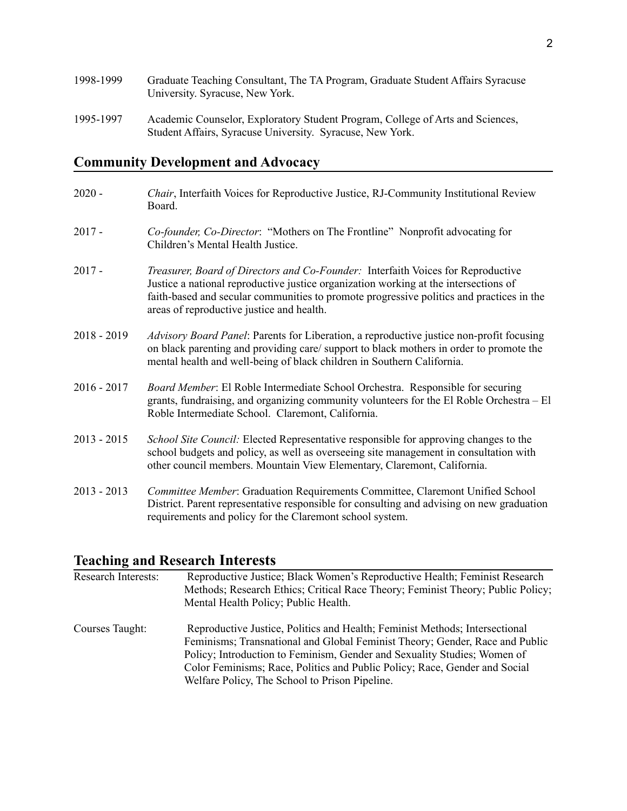| 1998-1999 | Graduate Teaching Consultant, The TA Program, Graduate Student Affairs Syracuse<br>University. Syracuse, New York.                          |
|-----------|---------------------------------------------------------------------------------------------------------------------------------------------|
| 1995-1997 | Academic Counselor, Exploratory Student Program, College of Arts and Sciences,<br>Student Affairs, Syracuse University. Syracuse, New York. |

# **Community Development and Advocacy**

| $2020 -$      | <i>Chair</i> , Interfaith Voices for Reproductive Justice, RJ-Community Institutional Review<br>Board.                                                                                                                                                                                                            |
|---------------|-------------------------------------------------------------------------------------------------------------------------------------------------------------------------------------------------------------------------------------------------------------------------------------------------------------------|
| $2017 -$      | Co-founder, Co-Director: "Mothers on The Frontline" Nonprofit advocating for<br>Children's Mental Health Justice.                                                                                                                                                                                                 |
| $2017 -$      | Treasurer, Board of Directors and Co-Founder: Interfaith Voices for Reproductive<br>Justice a national reproductive justice organization working at the intersections of<br>faith-based and secular communities to promote progressive politics and practices in the<br>areas of reproductive justice and health. |
| 2018 - 2019   | Advisory Board Panel: Parents for Liberation, a reproductive justice non-profit focusing<br>on black parenting and providing care/ support to black mothers in order to promote the<br>mental health and well-being of black children in Southern California.                                                     |
| $2016 - 2017$ | Board Member: El Roble Intermediate School Orchestra. Responsible for securing<br>grants, fundraising, and organizing community volunteers for the El Roble Orchestra - El<br>Roble Intermediate School. Claremont, California.                                                                                   |
| $2013 - 2015$ | School Site Council: Elected Representative responsible for approving changes to the<br>school budgets and policy, as well as overseeing site management in consultation with<br>other council members. Mountain View Elementary, Claremont, California.                                                          |
| $2013 - 2013$ | Committee Member: Graduation Requirements Committee, Claremont Unified School<br>District. Parent representative responsible for consulting and advising on new graduation<br>requirements and policy for the Claremont school system.                                                                            |

# **Teaching and Research Interests**

| <b>Research Interests:</b> | Reproductive Justice; Black Women's Reproductive Health; Feminist Research<br>Methods; Research Ethics; Critical Race Theory; Feminist Theory; Public Policy;<br>Mental Health Policy; Public Health.                                                                                                                                                                   |
|----------------------------|-------------------------------------------------------------------------------------------------------------------------------------------------------------------------------------------------------------------------------------------------------------------------------------------------------------------------------------------------------------------------|
| Courses Taught:            | Reproductive Justice, Politics and Health; Feminist Methods; Intersectional<br>Feminisms; Transnational and Global Feminist Theory; Gender, Race and Public<br>Policy; Introduction to Feminism, Gender and Sexuality Studies; Women of<br>Color Feminisms; Race, Politics and Public Policy; Race, Gender and Social<br>Welfare Policy, The School to Prison Pipeline. |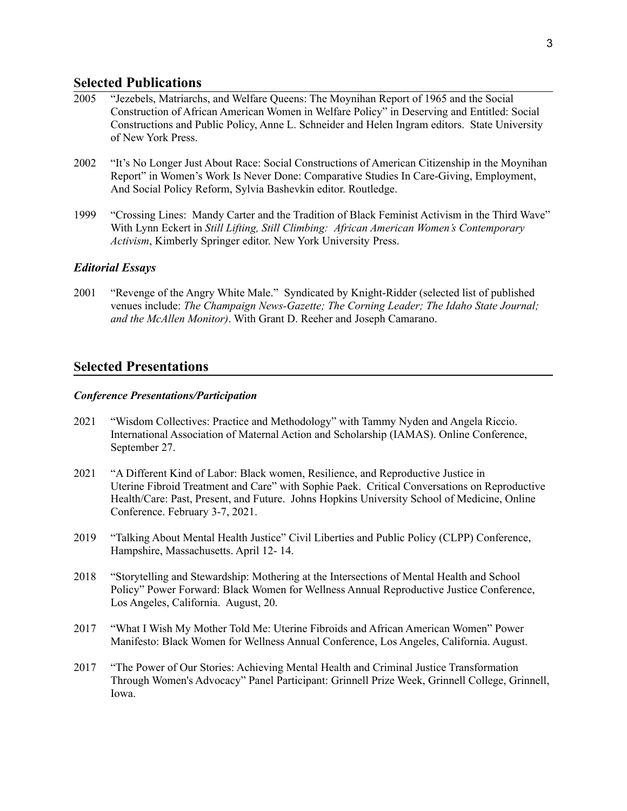### **Selected Publications**

- 2005 "Jezebels, Matriarchs, and Welfare Queens: The Moynihan Report of 1965 and the Social Construction of African American Women in Welfare Policy" in Deserving and Entitled: Social Constructions and Public Policy, Anne L. Schneider and Helen Ingram editors. State University of New York Press.
- 2002 "It's No Longer Just About Race: Social Constructions of American Citizenship in the Moynihan Report" in Women's Work Is Never Done: Comparative Studies In Care-Giving, Employment, And Social Policy Reform, Sylvia Bashevkin editor. Routledge.
- 1999 "Crossing Lines: Mandy Carter and the Tradition of Black Feminist Activism in the Third Wave" With Lynn Eckert in *Still Lifting, Still Climbing: African American Women's Contemporary Activism*, Kimberly Springer editor. New York University Press.

#### *Editorial Essays*

2001 "Revenge of the Angry White Male." Syndicated by Knight-Ridder (selected list of published venues include: *The Champaign News-Gazette; The Corning Leader; The Idaho State Journal; and the McAllen Monitor)*. With Grant D. Reeher and Joseph Camarano.

#### **Selected Presentations**

#### *Conference Presentations/Participation*

- 2021 "Wisdom Collectives: Practice and Methodology" with Tammy Nyden and Angela Riccio. International Association of Maternal Action and Scholarship (IAMAS). Online Conference, September 27.
- 2021 "A Different Kind of Labor: Black women, Resilience, and Reproductive Justice in Uterine Fibroid Treatment and Care" with Sophie Paek. Critical Conversations on Reproductive Health/Care: Past, Present, and Future. Johns Hopkins University School of Medicine, Online Conference. February 3-7, 2021.
- 2019 "Talking About Mental Health Justice" Civil Liberties and Public Policy (CLPP) Conference, Hampshire, Massachusetts. April 12- 14.
- 2018 "Storytelling and Stewardship: Mothering at the Intersections of Mental Health and School Policy" Power Forward: Black Women for Wellness Annual Reproductive Justice Conference, Los Angeles, California. August, 20.
- 2017 "What I Wish My Mother Told Me: Uterine Fibroids and African American Women" Power Manifesto: Black Women for Wellness Annual Conference, Los Angeles, California. August.
- 2017 "The Power of Our Stories: Achieving Mental Health and Criminal Justice Transformation Through Women's Advocacy" Panel Participant: Grinnell Prize Week, Grinnell College, Grinnell, Iowa.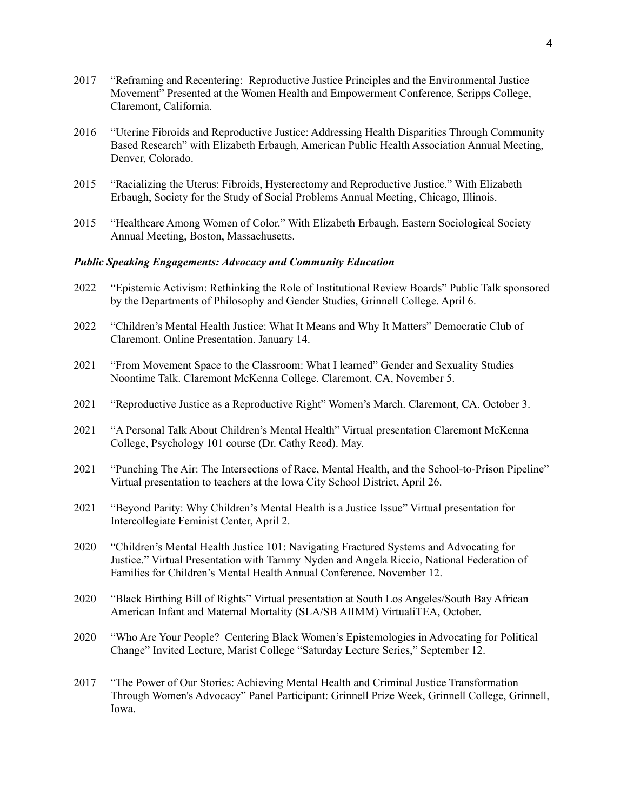- 2017 "Reframing and Recentering: Reproductive Justice Principles and the Environmental Justice Movement" Presented at the Women Health and Empowerment Conference, Scripps College, Claremont, California.
- 2016 "Uterine Fibroids and Reproductive Justice: Addressing Health Disparities Through Community Based Research" with Elizabeth Erbaugh, American Public Health Association Annual Meeting, Denver, Colorado.
- 2015 "Racializing the Uterus: Fibroids, Hysterectomy and Reproductive Justice." With Elizabeth Erbaugh, Society for the Study of Social Problems Annual Meeting, Chicago, Illinois.
- 2015 "Healthcare Among Women of Color." With Elizabeth Erbaugh, Eastern Sociological Society Annual Meeting, Boston, Massachusetts.

#### *Public Speaking Engagements: Advocacy and Community Education*

- 2022 "Epistemic Activism: Rethinking the Role of Institutional Review Boards" Public Talk sponsored by the Departments of Philosophy and Gender Studies, Grinnell College. April 6.
- 2022 "Children's Mental Health Justice: What It Means and Why It Matters" Democratic Club of Claremont. Online Presentation. January 14.
- 2021 "From Movement Space to the Classroom: What I learned" Gender and Sexuality Studies Noontime Talk. Claremont McKenna College. Claremont, CA, November 5.
- 2021 "Reproductive Justice as a Reproductive Right" Women's March. Claremont, CA. October 3.
- 2021 "A Personal Talk About Children's Mental Health" Virtual presentation Claremont McKenna College, Psychology 101 course (Dr. Cathy Reed). May.
- 2021 "Punching The Air: The Intersections of Race, Mental Health, and the School-to-Prison Pipeline" Virtual presentation to teachers at the Iowa City School District, April 26.
- 2021 "Beyond Parity: Why Children's Mental Health is a Justice Issue" Virtual presentation for Intercollegiate Feminist Center, April 2.
- 2020 "Children's Mental Health Justice 101: Navigating Fractured Systems and Advocating for Justice." Virtual Presentation with Tammy Nyden and Angela Riccio, National Federation of Families for Children's Mental Health Annual Conference. November 12.
- 2020 "Black Birthing Bill of Rights" Virtual presentation at South Los Angeles/South Bay African American Infant and Maternal Mortality (SLA/SB AIIMM) VirtualiTEA, October.
- 2020 "Who Are Your People? Centering Black Women's Epistemologies in Advocating for Political Change" Invited Lecture, Marist College "Saturday Lecture Series," September 12.
- 2017 "The Power of Our Stories: Achieving Mental Health and Criminal Justice Transformation Through Women's Advocacy" Panel Participant: Grinnell Prize Week, Grinnell College, Grinnell, Iowa.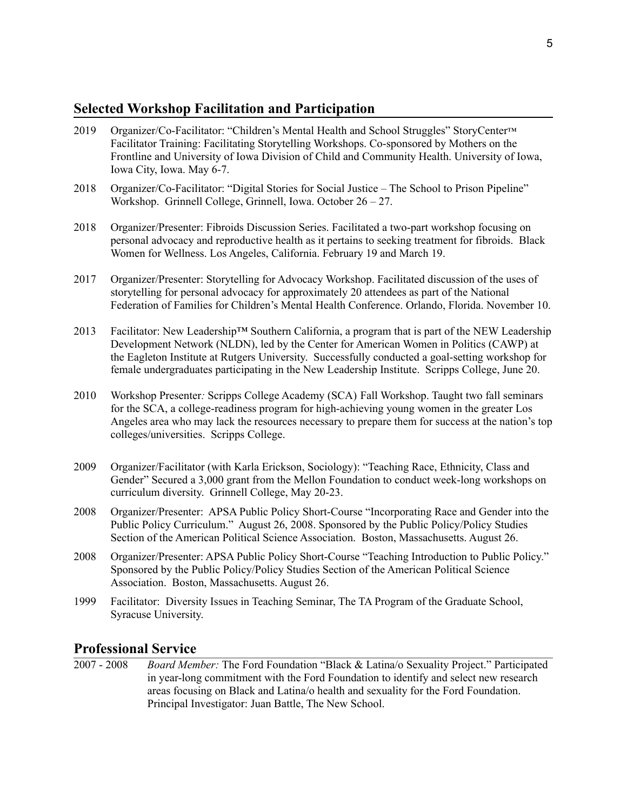## **Selected Workshop Facilitation and Participation**

- 2019 Organizer/Co-Facilitator: "Children's Mental Health and School Struggles" StoryCenter™ Facilitator Training: Facilitating Storytelling Workshops. Co-sponsored by Mothers on the Frontline and University of Iowa Division of Child and Community Health. University of Iowa, Iowa City, Iowa. May 6-7.
- 2018 Organizer/Co-Facilitator: "Digital Stories for Social Justice The School to Prison Pipeline" Workshop. Grinnell College, Grinnell, Iowa. October 26 – 27.
- 2018 Organizer/Presenter: Fibroids Discussion Series. Facilitated a two-part workshop focusing on personal advocacy and reproductive health as it pertains to seeking treatment for fibroids. Black Women for Wellness. Los Angeles, California. February 19 and March 19.
- 2017 Organizer/Presenter: Storytelling for Advocacy Workshop. Facilitated discussion of the uses of storytelling for personal advocacy for approximately 20 attendees as part of the National Federation of Families for Children's Mental Health Conference. Orlando, Florida. November 10.
- 2013 Facilitator: New Leadership™ Southern California, a program that is part of the NEW Leadership Development Network (NLDN), led by the Center for American Women in Politics (CAWP) at the Eagleton Institute at Rutgers University. Successfully conducted a goal-setting workshop for female undergraduates participating in the New Leadership Institute. Scripps College, June 20.
- 2010 Workshop Presenter*:* Scripps College Academy (SCA) Fall Workshop. Taught two fall seminars for the SCA, a college-readiness program for high-achieving young women in the greater Los Angeles area who may lack the resources necessary to prepare them for success at the nation's top colleges/universities. Scripps College.
- 2009 Organizer/Facilitator (with Karla Erickson, Sociology): "Teaching Race, Ethnicity, Class and Gender" Secured a 3,000 grant from the Mellon Foundation to conduct week-long workshops on curriculum diversity. Grinnell College, May 20-23.
- 2008 Organizer/Presenter: APSA Public Policy Short-Course "Incorporating Race and Gender into the Public Policy Curriculum." August 26, 2008. Sponsored by the Public Policy/Policy Studies Section of the American Political Science Association. Boston, Massachusetts. August 26.
- 2008 Organizer/Presenter: APSA Public Policy Short-Course "Teaching Introduction to Public Policy." Sponsored by the Public Policy/Policy Studies Section of the American Political Science Association. Boston, Massachusetts. August 26.
- 1999 Facilitator: Diversity Issues in Teaching Seminar, The TA Program of the Graduate School, Syracuse University.

### **Professional Service**

2007 - 2008 *Board Member:* The Ford Foundation "Black & Latina/o Sexuality Project." Participated in year-long commitment with the Ford Foundation to identify and select new research areas focusing on Black and Latina/o health and sexuality for the Ford Foundation. Principal Investigator: Juan Battle, The New School.